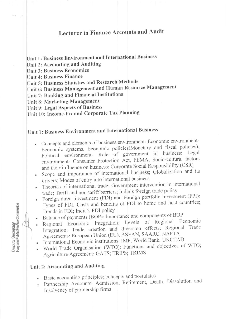## **Lecturer in Finance Accounts and Audit**

- Unit 1: Business Environment and International Business
- Unit 2: Accounting and Auditing

**Unit 3: Business Economics** 

Unit 4: Business Finance

Unit 5: Business Statistics and Research Methods

Unit 6: Business Management and Human Resource Management

Unit 7: Banking and Financial Institutions

Unit 8: Marketing Management

Unit 9: Legal Aspects of Business

Unit 10: Income-tax and Corporate Tax Planning

## Unit 1: Business Environment and International Business

- Concepts and elements of business environment: Economic environment-Economic systems, Economic policies(Monetary and fiscal policies); Political environment- Role of government in business; Legal environment- Consumer Protection Act, FEMA; Socio-cultural factors and their influence on business; Corporate Social Responsibility (CSR)
- · Scope and importance of international business; Globalization and its drivers; Modes of entry into international business
- Theories of international trade; Government intervention in international trade; Tariff and non-tariff barriers; India's foreign trade policy
- Foreign direct investment (FDI) and Foreign portfolio investment (FPI);
- Types of FDI, Costs and benefits of FDI to home and host countries; Trends in FDI; India's FDI policy

Balance of payments (BOP): Importance and components of BOP

- Regional Economic Integration: Levels of Regional Economic Integration; Trade creation and diversion effects; Regional Trade Agreements: European Union (EU), ASEAN, SAARC, NAFTA
- · International Economic institutions: IMF, World Bank, UNCTAD
- · World Trade Organisation (WTO): Functions and objectives of WTO; Agriculture Agreement; GATS; TRIPS; TRIMS

### Unit 2: Accounting and Auditing

- · Basic accounting principles; concepts and postulates
- · Partnership Accounts: Admission, Retirement, Death, Dissolution and Insolvency of partnership firms

**Deputy Secretary<br>Haryana Public Service Commission** 

t. a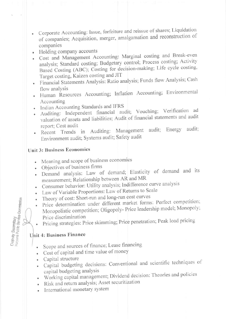- Corporate Accounting: Issue, forfeiture and reissue of shares; Liquidation of companies; Acquisition, merger, amalgamation and reconstruction of companies
- Holding company accounts
- · Cost and Management Accounting: Marginal costing and Break-even analysis; Standard costing; Budgetary control; Process costing; Activity Based Costing (ABC); Costing for decision-making; Life cycle costing, Target costing, Kaizen costing and JIT
- · Financial Statements Analysis: Ratio analysis; Funds flow Analysis; Cash flow analysis
- · Human Resources Accounting; Inflation Accounting; Environmental Accounting
- Indian Accounting Standards and IFRS
- · Auditing: Independent financial audit; Vouching; Verification ad valuation of assets and liabilities; Audit of financial statements and audit report; Cost audit
- · Recent Trends in Auditing: Management audit; Energy audit; Environment audit; Systems audit; Safety audit

### **Unit 3: Business Economics**

- Meaning and scope of business economics
- Objectives of business firms
- · Demand analysis: Law of demand; Elasticity of demand and its measurement; Relationship between AR and MR
- Consumer behavior: Utility analysis; Indifference curve analysis
- Law of Variable Proportions: Law of Returns to Scale
- Theory of cost: Short-run and long-run cost curves
- Price determination under different market forms: Perfect competition; Monopolistic competition; Oligopoly- Price leadership model; Monopoly; Price discrimination
- Pricing strategies: Price skimming; Price penetration; Peak load pricing

#### Unit 4: Business Finance

Deputy Secretary<br>Haryana Public Service Commission

- Scope and sources of finance; Lease financing
- Cost of capital and time value of money
- Capital structure
- · Capital budgeting decisions: Conventional and scientific techniques of capital budgeting analysis
- · Working capital management; Dividend decision: Theories and policies
- · Risk and return analysis; Asset securitization
- International monetary system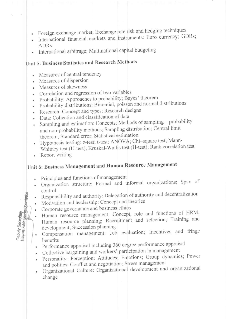- Foreign exchange market; Exchange rate risk and hedging techniques
- International financial markets and instruments: Euro currency; GDRs;  $\bullet$ **ADRs**
- International arbitrage; Multinational capital budgeting

## Unit 5: Business Statistics and Research Methods

- Measures of central tendency
- Measures of dispersion
- Measures of skewness
- Correlation and regression of two variables
- · Probability: Approaches to probability; Bayes' theorem
- · Probability distributions: Binomial, poisson and normal distributions
- · Research: Concept and types; Research designs
- Data: Collection and classification of data  $\bullet$
- Sampling and estimation: Concepts; Methods of sampling probability  $\bullet$ and non-probability methods; Sampling distribution; Central limit theorem; Standard error; Statistical estimation
- · Hypothesis testing: z-test; t-test; ANOVA; Chi-square test; Mann-Whitney test (U-test); Kruskal-Wallis test (H-test); Rank correlation test
- Report writing

Deputy Sacretary<br>Haiyana Public Benha Commission

# Unit 6: Business Management and Human Resource Management

- Principles and functions of management
- · Organization structure: Formal and informal organizations; Span of control
- Responsibility and authority: Delegation of authority and decentralization
- Motivation and leadership: Concept and theories
- Corporate governance and business ethics
- Human resource management: Concept, role and functions of HRM; Human resource planning; Recruitment and selection; Training and development; Succession planning
- · Compensation management: Job evaluation; Incentives and fringe benefits
- · Performance appraisal including 360 degree performance appraisal
- Collective bargaining and workers' participation in management
- Personality: Perception; Attitudes; Emotions; Group dynamics; Power and politics; Conflict and negotiation; Stress management
- Organizational Culture: Organizational development and organizational change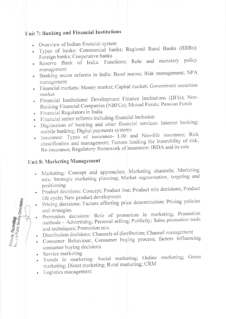## Unit 7: Banking and Financial Institutions

- Overview of Indian financial system
- · Types of banks: Commercial banks; Regional Rural Banks (RRBs); Foreign banks; Cooperative banks
- · Reserve Bank of India: Functions; Role and monetary policy management
- · Banking sector reforms in India: Basel norms; Risk management; NPA management
- · Financial markets: Money market; Capital market; Government securities market
- · Financial Institutions: Development Finance Institutions (DFIs); Non-Banking Financial Companies (NBFCs); Mutual Funds; Pension Funds
- · Financial Regulators in India
- Financial sector reforms including financial inclusion
- · Digitisation of banking and other financial services: Internet banking; mobile banking; Digital payments systems
- · Insurance: Types of insurance- Life and Non-life insurance; Risk classification and management; Factors limiting the insurability of risk; Re-insurance; Regulatory framework of insurance- IRDA and its role

## Unit 8: Marketing Management

- Marketing: Concept and approaches; Marketing channels; Marketing  $\bullet$ mix; Strategic marketing planning; Market segmentation, targeting and positioning
- · Product decisions: Concept; Product line; Product mix decisions; Product life cycle; New product development
- Pricing decisions: Factors affecting price determination; Pricing policies  $\bullet$ and strategies
- Promotion decisions: Role of promotion in marketing; Promotion methods - Advertising; Personal selling; Publicity; Sales promotion tools and techniques; Promotion mix
- Distribution decisions: Channels of distribution; Channel management  $\bullet$
- Consumer Behaviour; Consumer buying process; factors influencing consumer buying decisions
- Service marketing

Deputy Secretary<br>he., ana Public Service Commission

- · Trends in marketing: Social marketing; Online marketing; Green marketing; Direct marketing; Rural marketing; CRM
- Logistics management